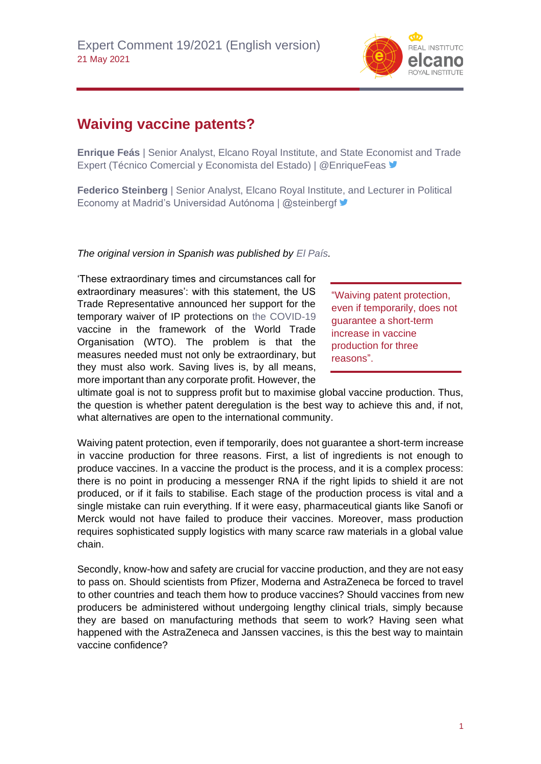

## **Waiving vaccine patents?**

**Enrique Feás** | Senior Analyst, Elcano Royal Institute, and State Economist and Trade Expert (Técnico Comercial y Economista del Estado) | @EnriqueFeas ♥

**Federico Steinberg** | Senior Analyst, Elcano Royal Institute, and Lecturer in Political Economy at Madrid's Universidad Autónoma | @steinbergf

*The original version in Spanish was published by [El País.](https://elpais.com/opinion/2021-05-07/liberar-las-patentes-de-las-vacunas.html)*

'These extraordinary times and circumstances call for extraordinary measures': with this statement, the US Trade Representative announced her support for the temporary waiver of IP protections on [the COVID-19](https://blog.realinstitutoelcano.org/en/tag/covid-19-en/) vaccine in the framework of the World Trade Organisation (WTO). The problem is that the measures needed must not only be extraordinary, but they must also work. Saving lives is, by all means, more important than any corporate profit. However, the

"Waiving patent protection, even if temporarily, does not guarantee a short-term increase in vaccine production for three reasons".

ultimate goal is not to suppress profit but to maximise global vaccine production. Thus, the question is whether patent deregulation is the best way to achieve this and, if not, what alternatives are open to the international community.

Waiving patent protection, even if temporarily, does not guarantee a short-term increase in vaccine production for three reasons. First, a list of ingredients is not enough to produce vaccines. In a vaccine the product is the process, and it is a complex process: there is no point in producing a messenger RNA if the right lipids to shield it are not produced, or if it fails to stabilise. Each stage of the production process is vital and a single mistake can ruin everything. If it were easy, pharmaceutical giants like Sanofi or Merck would not have failed to produce their vaccines. Moreover, mass production requires sophisticated supply logistics with many scarce raw materials in a global value chain.

Secondly, know-how and safety are crucial for vaccine production, and they are not easy to pass on. Should scientists from Pfizer, Moderna and AstraZeneca be forced to travel to other countries and teach them how to produce vaccines? Should vaccines from new producers be administered without undergoing lengthy clinical trials, simply because they are based on manufacturing methods that seem to work? Having seen what happened with the AstraZeneca and Janssen vaccines, is this the best way to maintain vaccine confidence?